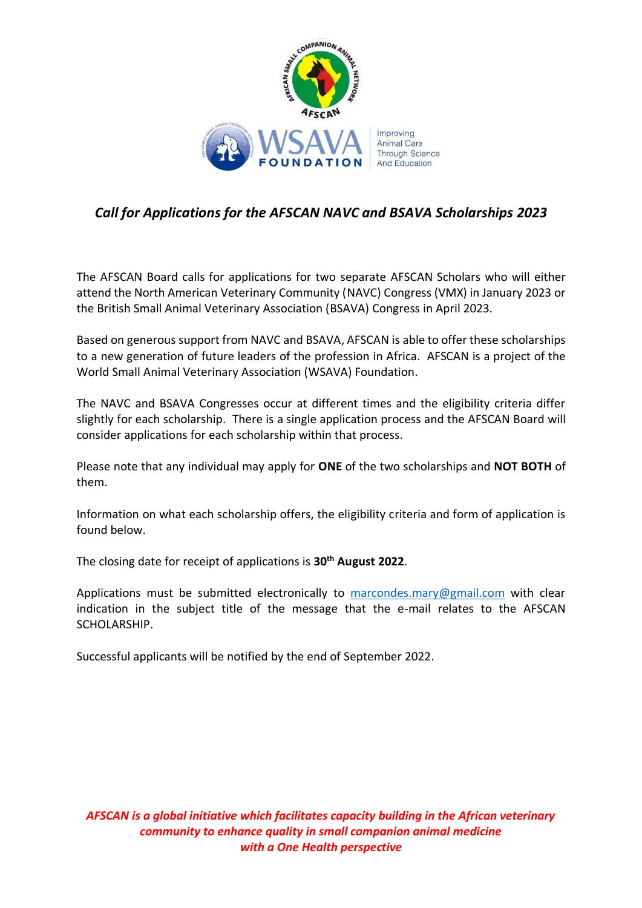

## *Call for Applications for the AFSCAN NAVC and BSAVA Scholarships 2023*

The AFSCAN Board calls for applications for two separate AFSCAN Scholars who will either attend the North American Veterinary Community (NAVC) Congress (VMX) in January 2023 or the British Small Animal Veterinary Association (BSAVA) Congress in April 2023.

Based on generous support from NAVC and BSAVA, AFSCAN is able to offer these scholarships to a new generation of future leaders of the profession in Africa. AFSCAN is a project of the World Small Animal Veterinary Association (WSAVA) Foundation.

The NAVC and BSAVA Congresses occur at different times and the eligibility criteria differ slightly for each scholarship. There is a single application process and the AFSCAN Board will consider applications for each scholarship within that process.

Please note that any individual may apply for **ONE** of the two scholarships and **NOT BOTH** of them.

Information on what each scholarship offers, the eligibility criteria and form of application is found below.

The closing date for receipt of applications is **30th August 2022**.

Applications must be submitted electronically to  $\frac{m}{2}$  marcondes.  $\frac{m}{2}$  maril.com with clear indication in the subject title of the message that the e-mail relates to the AFSCAN SCHOLARSHIP.

Successful applicants will be notified by the end of September 2022.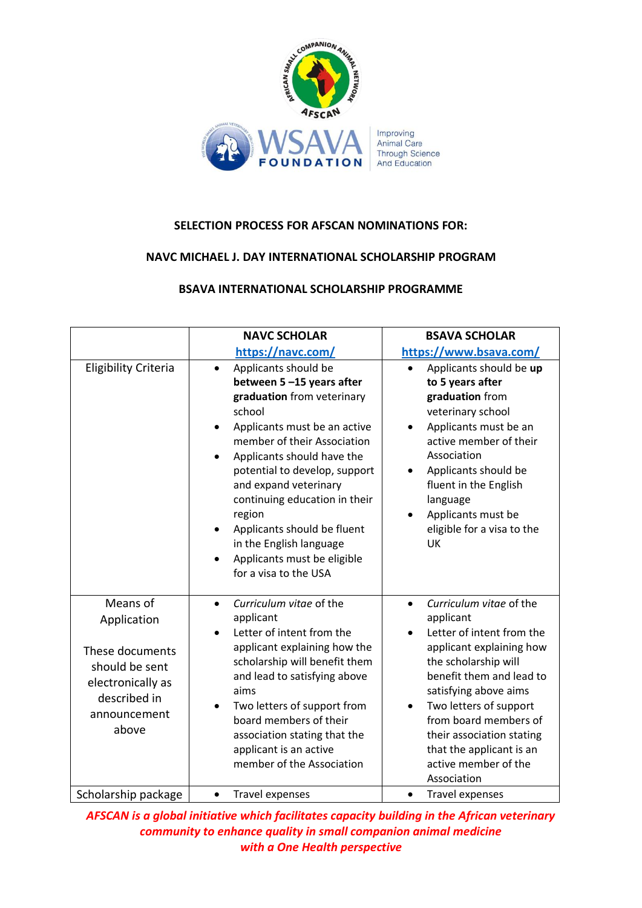

## **SELECTION PROCESS FOR AFSCAN NOMINATIONS FOR:**

## **NAVC MICHAEL J. DAY INTERNATIONAL SCHOLARSHIP PROGRAM**

## **BSAVA INTERNATIONAL SCHOLARSHIP PROGRAMME**

|                                                                                                                            | <b>NAVC SCHOLAR</b>                                                                                                                                                                                                                                                                                                                                                                                                       | <b>BSAVA SCHOLAR</b>                                                                                                                                                                                                                                                                                                                       |
|----------------------------------------------------------------------------------------------------------------------------|---------------------------------------------------------------------------------------------------------------------------------------------------------------------------------------------------------------------------------------------------------------------------------------------------------------------------------------------------------------------------------------------------------------------------|--------------------------------------------------------------------------------------------------------------------------------------------------------------------------------------------------------------------------------------------------------------------------------------------------------------------------------------------|
|                                                                                                                            | https://navc.com/                                                                                                                                                                                                                                                                                                                                                                                                         | https://www.bsava.com/                                                                                                                                                                                                                                                                                                                     |
| <b>Eligibility Criteria</b>                                                                                                | Applicants should be<br>$\bullet$<br>between 5-15 years after<br>graduation from veterinary<br>school<br>Applicants must be an active<br>member of their Association<br>Applicants should have the<br>potential to develop, support<br>and expand veterinary<br>continuing education in their<br>region<br>Applicants should be fluent<br>in the English language<br>Applicants must be eligible<br>for a visa to the USA | Applicants should be up<br>$\bullet$<br>to 5 years after<br>graduation from<br>veterinary school<br>Applicants must be an<br>active member of their<br>Association<br>Applicants should be<br>fluent in the English<br>language<br>Applicants must be<br>eligible for a visa to the<br>UK                                                  |
| Means of<br>Application<br>These documents<br>should be sent<br>electronically as<br>described in<br>announcement<br>above | Curriculum vitae of the<br>$\bullet$<br>applicant<br>Letter of intent from the<br>$\bullet$<br>applicant explaining how the<br>scholarship will benefit them<br>and lead to satisfying above<br>aims<br>Two letters of support from<br>$\bullet$<br>board members of their<br>association stating that the<br>applicant is an active<br>member of the Association                                                         | Curriculum vitae of the<br>$\bullet$<br>applicant<br>Letter of intent from the<br>applicant explaining how<br>the scholarship will<br>benefit them and lead to<br>satisfying above aims<br>Two letters of support<br>from board members of<br>their association stating<br>that the applicant is an<br>active member of the<br>Association |
| Scholarship package                                                                                                        | <b>Travel expenses</b><br>$\bullet$                                                                                                                                                                                                                                                                                                                                                                                       | <b>Travel expenses</b><br>$\bullet$                                                                                                                                                                                                                                                                                                        |

*AFSCAN is a global initiative which facilitates capacity building in the African veterinary community to enhance quality in small companion animal medicine with a One Health perspective*